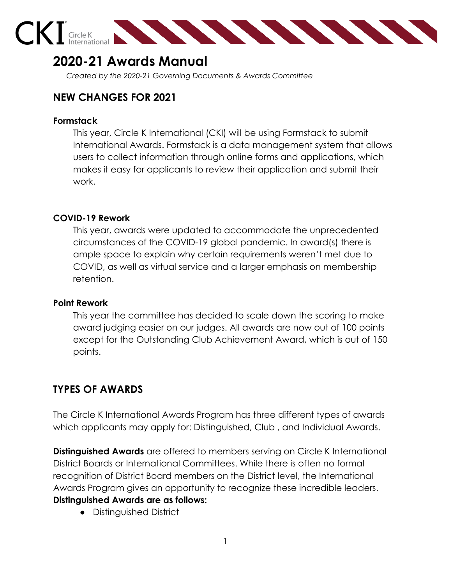

# **2020-21 Awards Manual**

*Created by the 2020-21 Governing Documents & Awards Committee*

# **NEW CHANGES FOR 2021**

#### **Formstack**

This year, Circle K International (CKI) will be using Formstack to submit International Awards. Formstack is a data management system that allows users to collect information through online forms and applications, which makes it easy for applicants to review their application and submit their work.

# **COVID-19 Rework**

This year, awards were updated to accommodate the unprecedented circumstances of the COVID-19 global pandemic. In award(s) there is ample space to explain why certain requirements weren't met due to COVID, as well as virtual service and a larger emphasis on membership retention.

# **Point Rework**

This year the committee has decided to scale down the scoring to make award judging easier on our judges. All awards are now out of 100 points except for the Outstanding Club Achievement Award, which is out of 150 points.

# **TYPES OF AWARDS**

The Circle K International Awards Program has three different types of awards which applicants may apply for: Distinguished, Club , and Individual Awards.

**Distinguished Awards** are offered to members serving on Circle K International District Boards or International Committees. While there is often no formal recognition of District Board members on the District level, the International Awards Program gives an opportunity to recognize these incredible leaders. **Distinguished Awards are as follows:**

● Distinguished District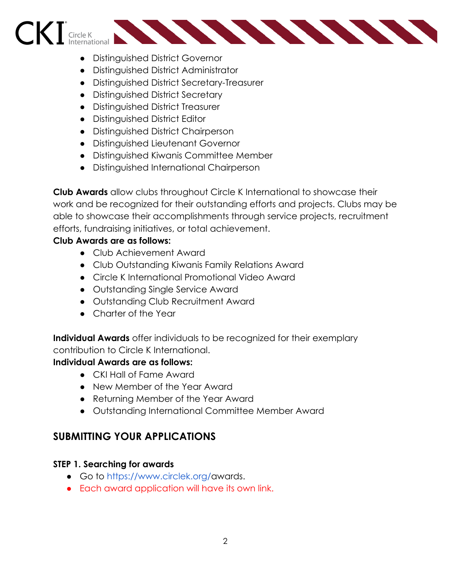# **ANNANNANNAN** Circle K

- Distinguished District Governor
- Distinguished District Administrator
- Distinguished District Secretary-Treasurer
- Distinguished District Secretary
- Distinguished District Treasurer
- Distinguished District Editor
- Distinguished District Chairperson
- Distinguished Lieutenant Governor
- Distinguished Kiwanis Committee Member
- Distinguished International Chairperson

**Club Awards** allow clubs throughout Circle K International to showcase their work and be recognized for their outstanding efforts and projects. Clubs may be able to showcase their accomplishments through service projects, recruitment efforts, fundraising initiatives, or total achievement.

# **Club Awards are as follows:**

- Club Achievement Award
- Club Outstanding Kiwanis Family Relations Award
- Circle K International Promotional Video Award
- Outstanding Single Service Award
- Outstanding Club Recruitment Award
- Charter of the Year

**Individual Awards** offer individuals to be recognized for their exemplary contribution to Circle K International.

# **Individual Awards are as follows:**

- CKI Hall of Fame Award
- New Member of the Year Award
- Returning Member of the Year Award
- Outstanding International Committee Member Award

# **SUBMITTING YOUR APPLICATIONS**

# **STEP 1. Searching for awards**

- Go to [https://www.circlek.org/](https://www.circlek.org/ckix)awards.
- Each award application will have its own link.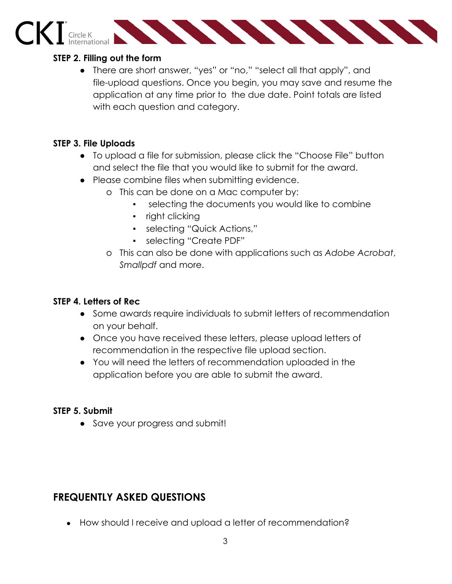# CKI Gircle K New York Strategies and the Charles Contract of the Charles Contract of the Charles Contract of the Charles Contract of the Charles Contract of the Charles Contract of the Charles Contract of the Charles Contr

#### **STEP 2. Filling out the form**

● There are short answer, "yes" or "no," "select all that apply", and file-upload questions. Once you begin, you may save and resume the application at any time prior to the due date. Point totals are listed with each question and category.

# **STEP 3. File Uploads**

- To upload a file for submission, please click the "Choose File" button and select the file that you would like to submit for the award.
- Please combine files when submitting evidence.
	- o This can be done on a Mac computer by:
		- selecting the documents you would like to combine
		- right clicking
		- selecting "Quick Actions,"
		- selecting "Create PDF"
	- o This can also be done with applications such as *Adobe Acrobat*, *Smallpdf* and more.

# **STEP 4. Letters of Rec**

- Some awards require individuals to submit letters of recommendation on your behalf.
- Once you have received these letters, please upload letters of recommendation in the respective file upload section.
- You will need the letters of recommendation uploaded in the application before you are able to submit the award.

# **STEP 5. Submit**

**●** Save your progress and submit!

# **FREQUENTLY ASKED QUESTIONS**

• How should I receive and upload a letter of recommendation?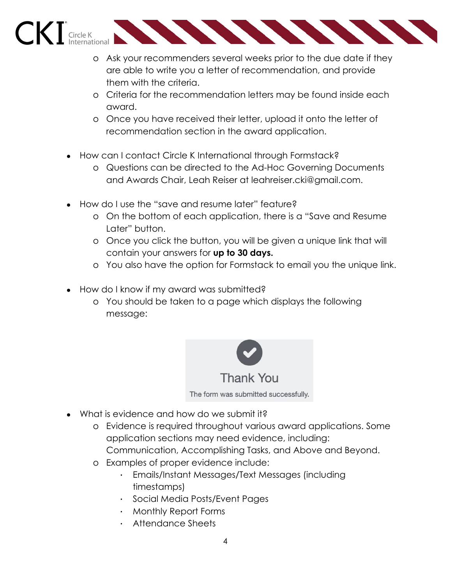

- o Ask your recommenders several weeks prior to the due date if they are able to write you a letter of recommendation, and provide them with the criteria.
- o Criteria for the recommendation letters may be found inside each award.
- o Once you have received their letter, upload it onto the letter of recommendation section in the award application.
- How can I contact Circle K International through Formstack?
	- o Questions can be directed to the Ad-Hoc Governing Documents and Awards Chair, Leah Reiser at leahreiser.cki@gmail.com.
- How do I use the "save and resume later" feature?
	- o On the bottom of each application, there is a "Save and Resume Later" button.
	- o Once you click the button, you will be given a unique link that will contain your answers for **up to 30 days.**
	- o You also have the option for Formstack to email you the unique link.
- How do I know if my award was submitted?
	- o You should be taken to a page which displays the following message:



- What is evidence and how do we submit it?
	- o Evidence is required throughout various award applications. Some application sections may need evidence, including: Communication, Accomplishing Tasks, and Above and Beyond.
	- o Examples of proper evidence include:
		- Emails/Instant Messages/Text Messages (including timestamps)
		- Social Media Posts/Event Pages
		- Monthly Report Forms
		- Attendance Sheets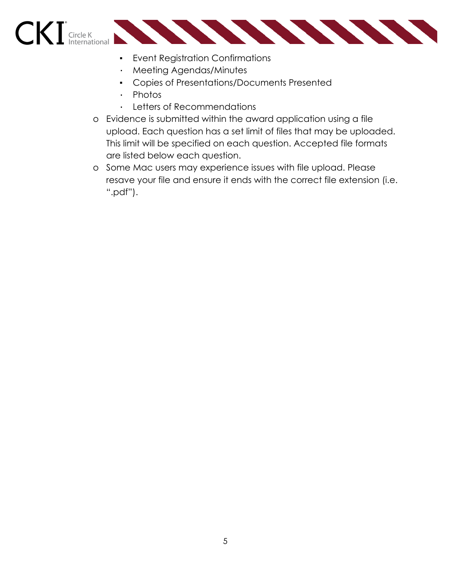

- Event Registration Confirmations
- Meeting Agendas/Minutes
- Copies of Presentations/Documents Presented
- Photos
- Letters of Recommendations
- o Evidence is submitted within the award application using a file upload. Each question has a set limit of files that may be uploaded. This limit will be specified on each question. Accepted file formats are listed below each question.
- o Some Mac users may experience issues with file upload. Please resave your file and ensure it ends with the correct file extension (i.e. ".pdf").